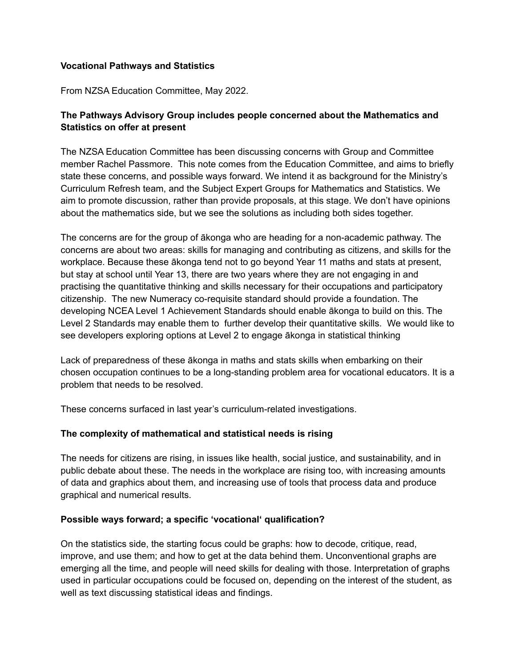#### **Vocational Pathways and Statistics**

From NZSA Education Committee, May 2022.

# **The Pathways Advisory Group includes people concerned about the Mathematics and Statistics on offer at present**

The NZSA Education Committee has been discussing concerns with Group and Committee member Rachel Passmore. This note comes from the Education Committee, and aims to briefly state these concerns, and possible ways forward. We intend it as background for the Ministry's Curriculum Refresh team, and the Subject Expert Groups for Mathematics and Statistics. We aim to promote discussion, rather than provide proposals, at this stage. We don't have opinions about the mathematics side, but we see the solutions as including both sides together.

The concerns are for the group of ākonga who are heading for a non-academic pathway. The concerns are about two areas: skills for managing and contributing as citizens, and skills for the workplace. Because these ākonga tend not to go beyond Year 11 maths and stats at present, but stay at school until Year 13, there are two years where they are not engaging in and practising the quantitative thinking and skills necessary for their occupations and participatory citizenship. The new Numeracy co-requisite standard should provide a foundation. The developing NCEA Level 1 Achievement Standards should enable ākonga to build on this. The Level 2 Standards may enable them to further develop their quantitative skills. We would like to see developers exploring options at Level 2 to engage ākonga in statistical thinking

Lack of preparedness of these ākonga in maths and stats skills when embarking on their chosen occupation continues to be a long-standing problem area for vocational educators. It is a problem that needs to be resolved.

These concerns surfaced in last year's curriculum-related investigations.

# **The complexity of mathematical and statistical needs is rising**

The needs for citizens are rising, in issues like health, social justice, and sustainability, and in public debate about these. The needs in the workplace are rising too, with increasing amounts of data and graphics about them, and increasing use of tools that process data and produce graphical and numerical results.

# **Possible ways forward; a specific 'vocational' qualification?**

On the statistics side, the starting focus could be graphs: how to decode, critique, read, improve, and use them; and how to get at the data behind them. Unconventional graphs are emerging all the time, and people will need skills for dealing with those. Interpretation of graphs used in particular occupations could be focused on, depending on the interest of the student, as well as text discussing statistical ideas and findings.